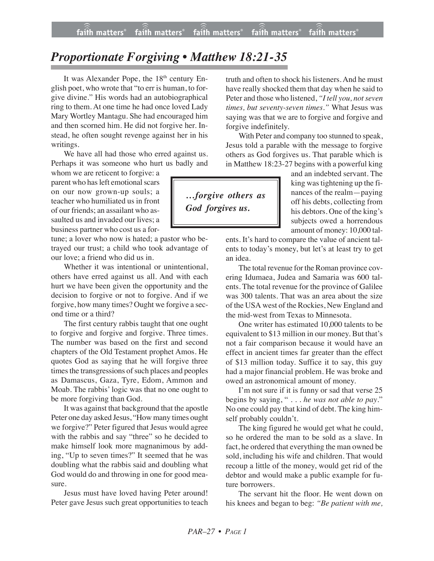## *Proportionate Forgiving • Matthew 18:21-35*

It was Alexander Pope, the 18<sup>th</sup> century English poet, who wrote that "to err is human, to forgive divine." His words had an autobiographical ring to them. At one time he had once loved Lady Mary Wortley Mantagu. She had encouraged him and then scorned him. He did not forgive her. Instead, he often sought revenge against her in his writings.

We have all had those who erred against us. Perhaps it was someone who hurt us badly and

whom we are reticent to forgive: a parent who has left emotional scars on our now grown-up souls; a teacher who humiliated us in front of our friends; an assailant who assaulted us and invaded our lives; a business partner who cost us a for-

tune; a lover who now is hated; a pastor who betrayed our trust; a child who took advantage of our love; a friend who did us in.

Whether it was intentional or unintentional, others have erred against us all. And with each hurt we have been given the opportunity and the decision to forgive or not to forgive. And if we forgive, how many times? Ought we forgive a second time or a third?

The first century rabbis taught that one ought to forgive and forgive and forgive. Three times. The number was based on the first and second chapters of the Old Testament prophet Amos. He quotes God as saying that he will forgive three times the transgressions of such places and peoples as Damascus, Gaza, Tyre, Edom, Ammon and Moab. The rabbis' logic was that no one ought to be more forgiving than God.

It was against that background that the apostle Peter one day asked Jesus, "How many times ought we forgive?" Peter figured that Jesus would agree with the rabbis and say "three" so he decided to make himself look more magnanimous by adding, "Up to seven times?" It seemed that he was doubling what the rabbis said and doubling what God would do and throwing in one for good measure.

Jesus must have loved having Peter around! Peter gave Jesus such great opportunities to teach truth and often to shock his listeners. And he must have really shocked them that day when he said to Peter and those who listened, "I tell you, not seven *times, but seventy-seven times."* What Jesus was saying was that we are to forgive and forgive and forgive indefinitely.

With Peter and company too stunned to speak, Jesus told a parable with the message to forgive others as God forgives us. That parable which is in Matthew 18:23-27 begins with a powerful king

> and an indebted servant. The king wastightening up the finances of the realm—paying off his debts, collecting from his debtors. One of the king's subjects owed a horrendous amount of money: 10,000 tal-

ents. It's hard to compare the value of ancient talents to today's money, but let's at least try to get an idea.

The total revenue for the Roman province covering Idumaea, Judea and Samaria was 600 talents. The total revenue for the province of Galilee was 300 talents. That was an area about the size of the USA west of the Rockies, New England and the mid-west from Texas to Minnesota.

One writer has estimated 10,000 talents to be equivalent to \$13 million in our money. But that's not a fair comparison because it would have an effect in ancient times far greater than the effect of \$13 million today. Suffice it to say, this guy had a major financial problem. He was broke and owed an astronomical amount of money.

I'm not sure if it is funny or sad that verse 25 begins by saying, " . . . *he was not able to pay*." No one could pay that kind of debt. The king himself probably couldn't.

The king figured he would get what he could, so he ordered the man to be sold as a slave. In fact, he ordered that everything the man owned be sold, including his wife and children. That would recoup a little of the money, would get rid of the debtor and would make a public example for future borrowers.

The servant hit the floor. He went down on his knees and began to beg: *"Be patient with me,*

*…forgive others as God forgives us.*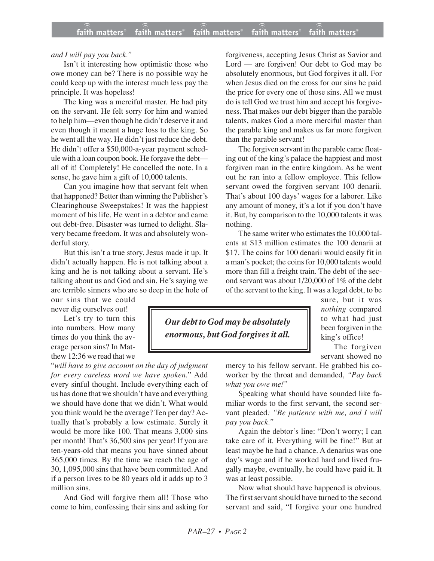## *and I will pay you back."*

Isn't it interesting how optimistic those who owe money can be? There is no possible way he could keep up with the interest much less pay the principle. It was hopeless!

The king was a merciful master. He had pity on the servant. He felt sorry for him and wanted to help him—even though he didn't deserve it and even though it meant a huge loss to the king. So he went all the way. He didn't just reduce the debt. He didn't offer a \$50,000-a-year payment schedule with a loan coupon book. He forgave the debt all of it! Completely! He cancelled the note. In a sense, he gave him a gift of 10,000 talents.

Can you imagine how that servant felt when that happened? Better than winning the Publisher's Clearinghouse Sweepstakes! It was the happiest moment of his life. He went in a debtor and came out debt-free. Disaster was turned to delight. Slavery became freedom. It was and absolutely wonderful story.

But this isn't a true story. Jesus made it up. It didn't actually happen. He is not talking about a king and he is not talking about a servant. He's talking about us and God and sin. He's saying we are terrible sinners who are so deep in the hole of

our sins that we could never dig ourselves out!

Let's try to turn this into numbers. How many times do you think the average person sins? In Matthew 12:36 we read that we

"*will have to give account on the day of judgment for every careless word we have spoken*." Add every sinful thought. Include everything each of us has done that we shouldn't have and everything we should have done that we didn't. What would you think would be the average? Ten per day? Actually that's probably a low estimate. Surely it would be more like 100. That means 3,000 sins per month! That's 36,500 sins per year! If you are ten-years-old that means you have sinned about 365,000 times. By the time we reach the age of 30, 1,095,000 sins that have been committed. And if a person lives to be 80 years old it adds up to 3 million sins.

And God will forgive them all! Those who come to him, confessing their sins and asking for forgiveness, accepting Jesus Christ as Savior and Lord — are forgiven! Our debt to God may be absolutely enormous, but God forgives it all. For when Jesus died on the cross for our sins he paid the price for every one of those sins. All we must do is tell God we trust him and accept his forgiveness. That makes our debt bigger than the parable talents, makes God a more merciful master than the parable king and makes us far more forgiven than the parable servant!

The forgiven servant in the parable came floating out of the king's palace the happiest and most forgiven man in the entire kingdom. As he went out he ran into a fellow employee. This fellow servant owed the forgiven servant 100 denarii. That's about 100 days' wages for a laborer. Like any amount of money, it's a lot if you don't have it. But, by comparison to the 10,000 talents it was nothing.

The same writer who estimates the 10,000 talents at \$13 million estimates the 100 denarii at \$17. The coins for 100 denarii would easily fit in a man's pocket; the coins for 10,000 talents would more than fill a freight train. The debt of the second servant was about 1/20,000 of 1% of the debt of the servant to the king. It was a legal debt, to be

*Our debt to God may be absolutely enormous, but God forgives it all.*

sure, but it was *nothing* compared to what had just been forgiven in the king's office!

The forgiven servant showed no

mercy to his fellow servant. He grabbed his coworker by the throat and demanded, *"Pay back what you owe me!"*

Speaking what should have sounded like familiar words to the first servant, the second servant pleaded*: "Be patience with me, and I will pay you back."*

Again the debtor's line: "Don't worry; I can take care of it. Everything will be fine!" But at least maybe he had a chance. A denarius was one day's wage and if he worked hard and lived frugally maybe, eventually, he could have paid it. It was at least possible.

Now what should have happened is obvious. The first servant should have turned to the second servant and said, "I forgive your one hundred